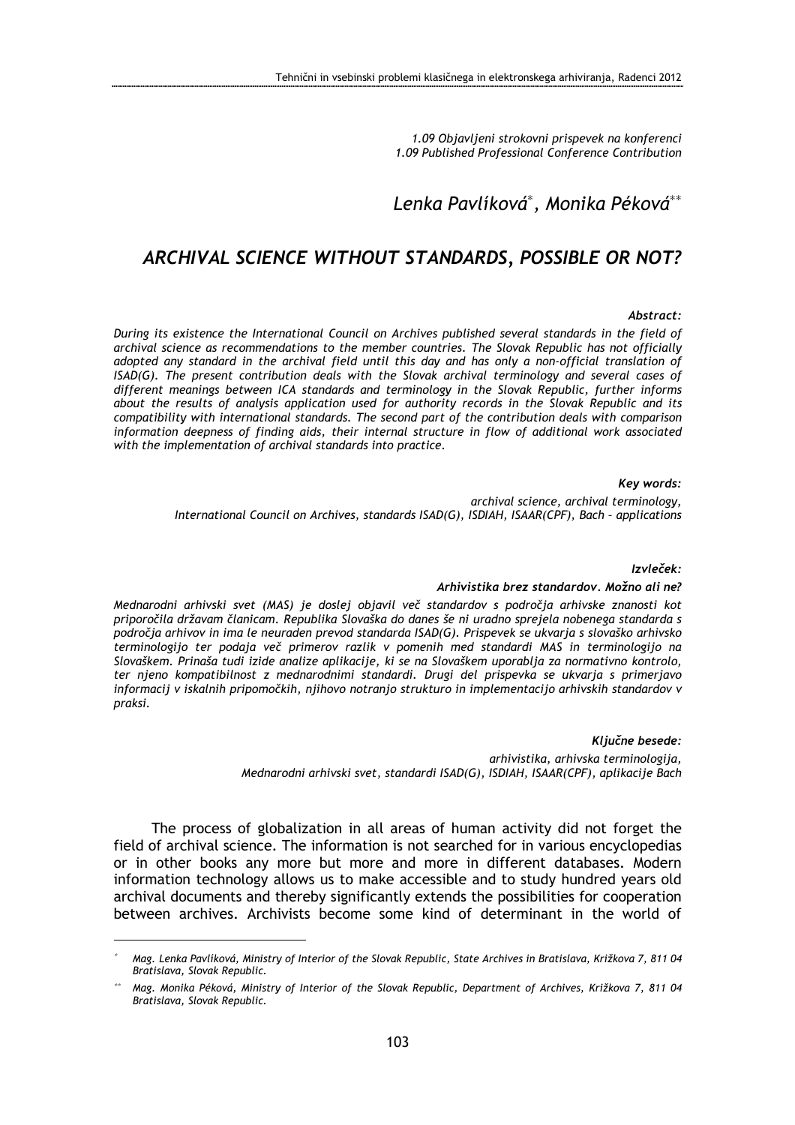1.09 Objavljeni strokovni prispevek na konferenci 1.09 Published Professional Conference Contribution

# Lenka Pavlíková<sup>\*</sup>, Monika Péková<sup>\*\*</sup>

## ARCHIVAL SCIENCE WITHOUT STANDARDS, POSSIBLE OR NOT?

#### Abstract:

During its existence the International Council on Archives published several standards in the field of archival science as recommendations to the member countries. The Slovak Republic has not officially adopted any standard in the archival field until this day and has only a non-official translation of ISAD(G). The present contribution deals with the Slovak archival terminology and several cases of different meanings between ICA standards and terminology in the Slovak Republic, further informs about the results of analysis application used for authority records in the Slovak Republic and its compatibility with international standards. The second part of the contribution deals with comparison information deepness of finding aids, their internal structure in flow of additional work associated with the implementation of archival standards into practice.

#### Key words:

archival science, archival terminology, International Council on Archives, standards ISAD(G), ISDIAH, ISAAR(CPF), Bach – applications

#### Izvleček:

#### Arhivistika brez standardov. Možno ali ne?

Mednarodni arhivski svet (MAS) je doslej objavil več standardov s področja arhivske znanosti kot priporočila državam članicam. Republika Slovaška do danes še ni uradno sprejela nobenega standarda s področja arhivov in ima le neuraden prevod standarda ISAD(G). Prispevek se ukvarja s slovaško arhivsko terminologijo ter podaja več primerov razlik v pomenih med standardi MAS in terminologijo na Slovaškem. Prinaša tudi izide analize aplikacije, ki se na Slovaškem uporablja za normativno kontrolo, ter njeno kompatibilnost z mednarodnimi standardi. Drugi del prispevka se ukvarja s primerjavo informacij v iskalnih pripomočkih, njihovo notranjo strukturo in implementacijo arhivskih standardov v praksi.

> Ključne besede: arhivistika, arhivska terminologija, Mednarodni arhivski svet, standardi ISAD(G), ISDIAH, ISAAR(CPF), aplikacije Bach

The process of globalization in all areas of human activity did not forget the field of archival science. The information is not searched for in various encyclopedias or in other books any more but more and more in different databases. Modern information technology allows us to make accessible and to study hundred years old archival documents and thereby significantly extends the possibilities for cooperation between archives. Archivists become some kind of determinant in the world of

 $\overline{a}$ 

<sup>∗</sup> Mag. Lenka Pavlíková, Ministry of Interior of the Slovak Republic, State Archives in Bratislava, Križkova 7, 811 04 Bratislava, Slovak Republic.

<sup>∗∗</sup> Mag. Monika Péková, Ministry of Interior of the Slovak Republic, Department of Archives, Križkova 7, 811 04 Bratislava, Slovak Republic.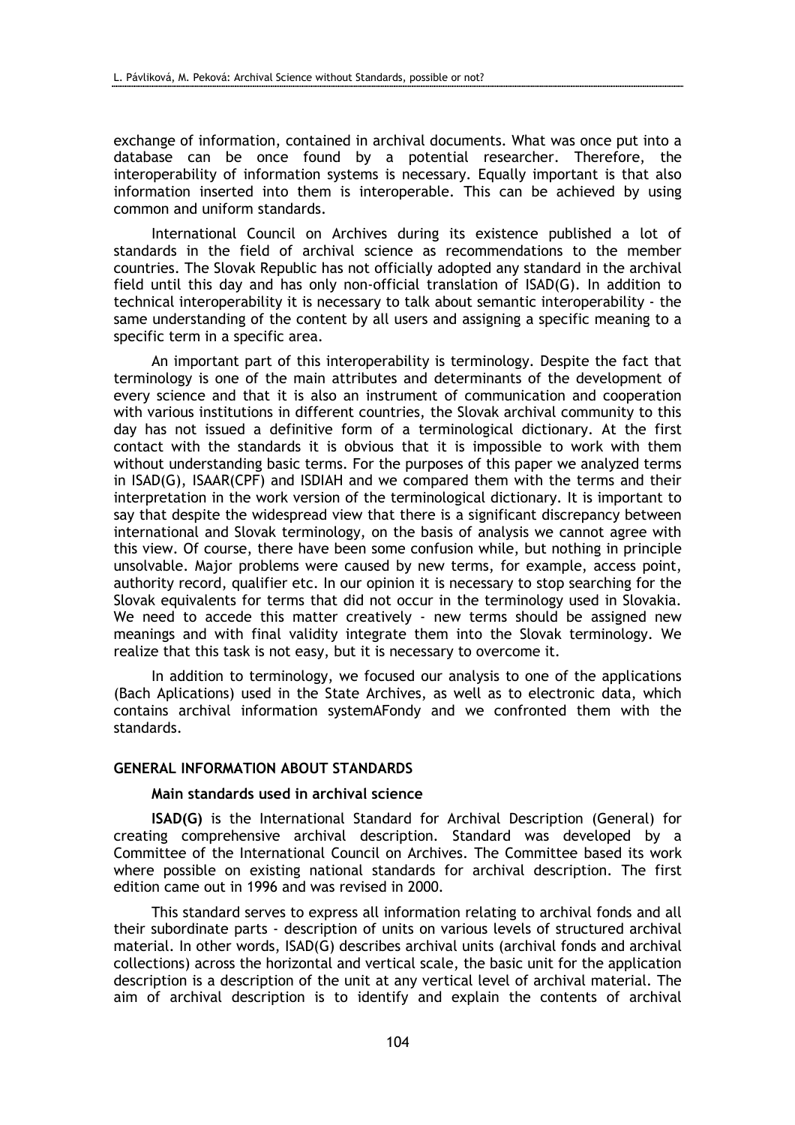exchange of information, contained in archival documents. What was once put into a database can be once found by a potential researcher. Therefore, the interoperability of information systems is necessary. Equally important is that also information inserted into them is interoperable. This can be achieved by using common and uniform standards.

International Council on Archives during its existence published a lot of standards in the field of archival science as recommendations to the member countries. The Slovak Republic has not officially adopted any standard in the archival field until this day and has only non-official translation of ISAD(G). In addition to technical interoperability it is necessary to talk about semantic interoperability - the same understanding of the content by all users and assigning a specific meaning to a specific term in a specific area.

An important part of this interoperability is terminology. Despite the fact that terminology is one of the main attributes and determinants of the development of every science and that it is also an instrument of communication and cooperation with various institutions in different countries, the Slovak archival community to this day has not issued a definitive form of a terminological dictionary. At the first contact with the standards it is obvious that it is impossible to work with them without understanding basic terms. For the purposes of this paper we analyzed terms in ISAD(G), ISAAR(CPF) and ISDIAH and we compared them with the terms and their interpretation in the work version of the terminological dictionary. It is important to say that despite the widespread view that there is a significant discrepancy between international and Slovak terminology, on the basis of analysis we cannot agree with this view. Of course, there have been some confusion while, but nothing in principle unsolvable. Major problems were caused by new terms, for example, access point, authority record, qualifier etc. In our opinion it is necessary to stop searching for the Slovak equivalents for terms that did not occur in the terminology used in Slovakia. We need to accede this matter creatively - new terms should be assigned new meanings and with final validity integrate them into the Slovak terminology. We realize that this task is not easy, but it is necessary to overcome it.

In addition to terminology, we focused our analysis to one of the applications (Bach Aplications) used in the State Archives, as well as to electronic data, which contains archival information systemAFondy and we confronted them with the standards.

### GENERAL INFORMATION ABOUT STANDARDS

#### Main standards used in archival science

ISAD(G) is the International Standard for Archival Description (General) for creating comprehensive archival description. Standard was developed by a Committee of the International Council on Archives. The Committee based its work where possible on existing national standards for archival description. The first edition came out in 1996 and was revised in 2000.

This standard serves to express all information relating to archival fonds and all their subordinate parts - description of units on various levels of structured archival material. In other words, ISAD(G) describes archival units (archival fonds and archival collections) across the horizontal and vertical scale, the basic unit for the application description is a description of the unit at any vertical level of archival material. The aim of archival description is to identify and explain the contents of archival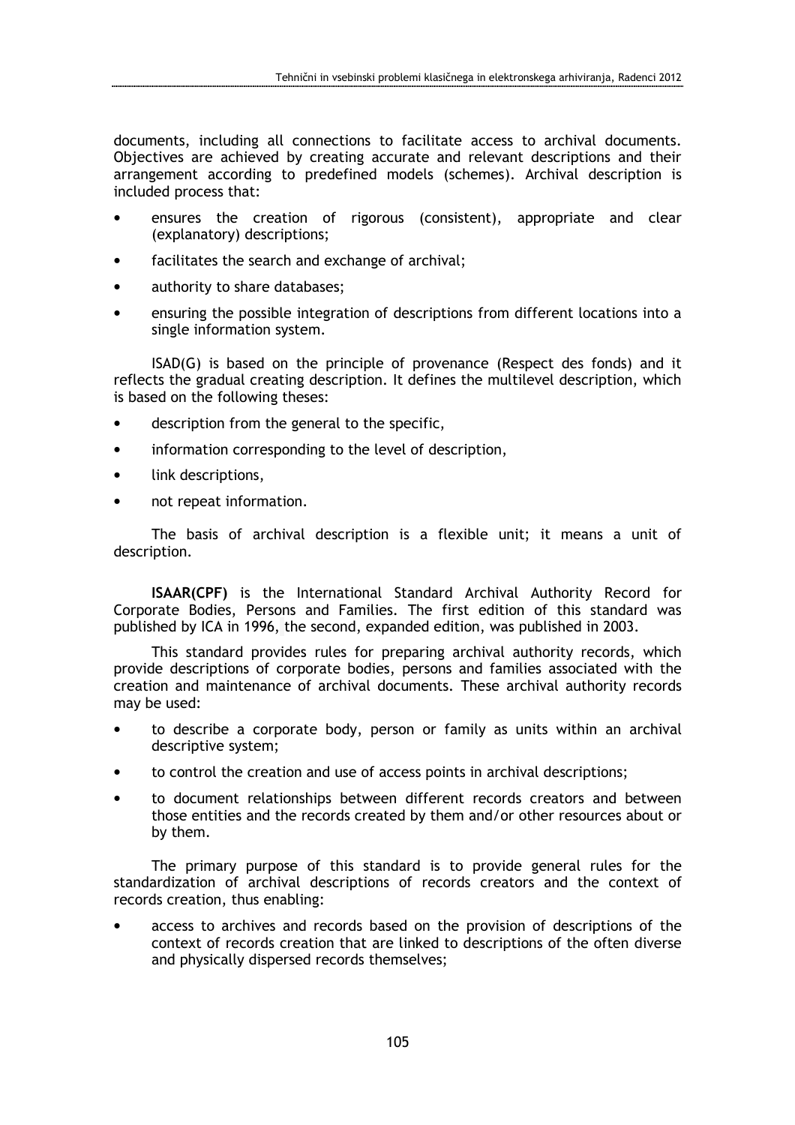documents, including all connections to facilitate access to archival documents. Objectives are achieved by creating accurate and relevant descriptions and their arrangement according to predefined models (schemes). Archival description is included process that:

- ensures the creation of rigorous (consistent), appropriate and clear (explanatory) descriptions;
- facilitates the search and exchange of archival;
- authority to share databases;
- ensuring the possible integration of descriptions from different locations into a single information system.

ISAD(G) is based on the principle of provenance (Respect des fonds) and it reflects the gradual creating description. It defines the multilevel description, which is based on the following theses:

- description from the general to the specific,
- information corresponding to the level of description,
- link descriptions,
- not repeat information.

The basis of archival description is a flexible unit; it means a unit of description.

ISAAR(CPF) is the International Standard Archival Authority Record for Corporate Bodies, Persons and Families. The first edition of this standard was published by ICA in 1996, the second, expanded edition, was published in 2003.

This standard provides rules for preparing archival authority records, which provide descriptions of corporate bodies, persons and families associated with the creation and maintenance of archival documents. These archival authority records may be used:

- to describe a corporate body, person or family as units within an archival descriptive system;
- to control the creation and use of access points in archival descriptions;
- to document relationships between different records creators and between those entities and the records created by them and/or other resources about or by them.

The primary purpose of this standard is to provide general rules for the standardization of archival descriptions of records creators and the context of records creation, thus enabling:

• access to archives and records based on the provision of descriptions of the context of records creation that are linked to descriptions of the often diverse and physically dispersed records themselves;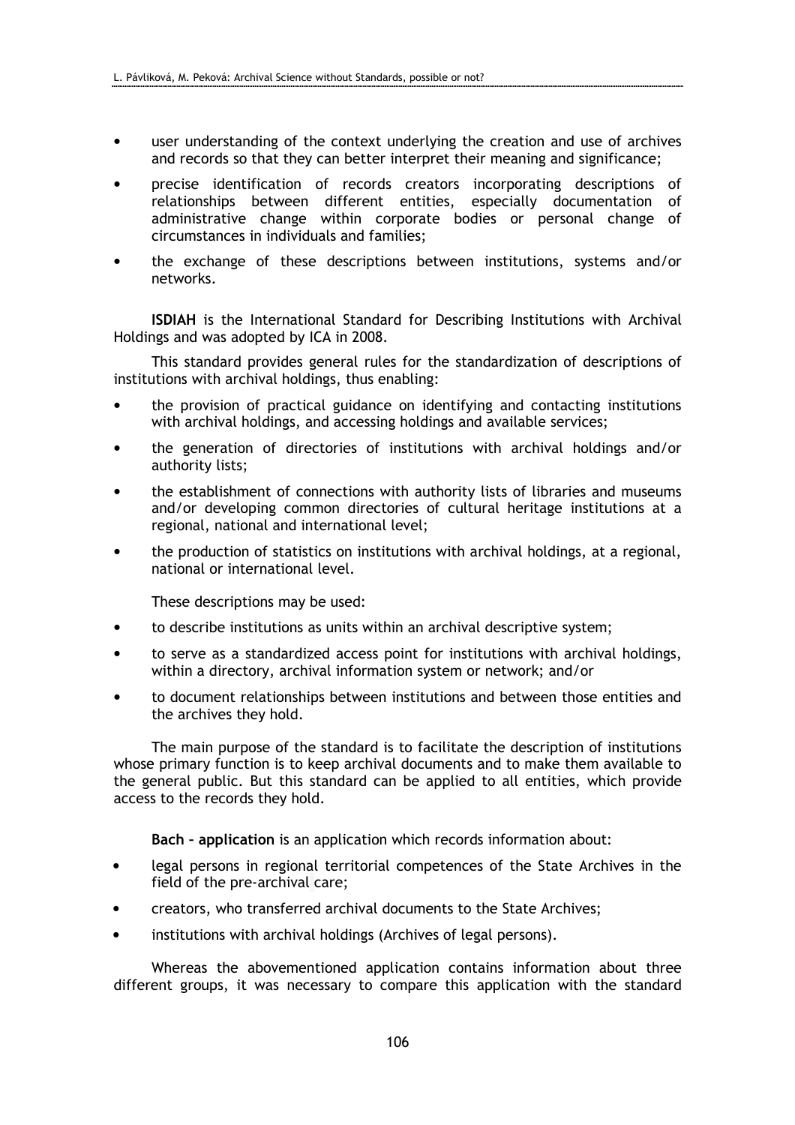- user understanding of the context underlying the creation and use of archives and records so that they can better interpret their meaning and significance;
- precise identification of records creators incorporating descriptions of relationships between different entities, especially documentation of administrative change within corporate bodies or personal change of circumstances in individuals and families;
- the exchange of these descriptions between institutions, systems and/or networks.

ISDIAH is the International Standard for Describing Institutions with Archival Holdings and was adopted by ICA in 2008.

This standard provides general rules for the standardization of descriptions of institutions with archival holdings, thus enabling:

- the provision of practical guidance on identifying and contacting institutions with archival holdings, and accessing holdings and available services;
- the generation of directories of institutions with archival holdings and/or authority lists;
- the establishment of connections with authority lists of libraries and museums and/or developing common directories of cultural heritage institutions at a regional, national and international level;
- the production of statistics on institutions with archival holdings, at a regional, national or international level.

These descriptions may be used:

- to describe institutions as units within an archival descriptive system;
- to serve as a standardized access point for institutions with archival holdings, within a directory, archival information system or network; and/or
- to document relationships between institutions and between those entities and the archives they hold.

The main purpose of the standard is to facilitate the description of institutions whose primary function is to keep archival documents and to make them available to the general public. But this standard can be applied to all entities, which provide access to the records they hold.

Bach – application is an application which records information about:

- legal persons in regional territorial competences of the State Archives in the field of the pre-archival care;
- creators, who transferred archival documents to the State Archives;
- institutions with archival holdings (Archives of legal persons).

Whereas the abovementioned application contains information about three different groups, it was necessary to compare this application with the standard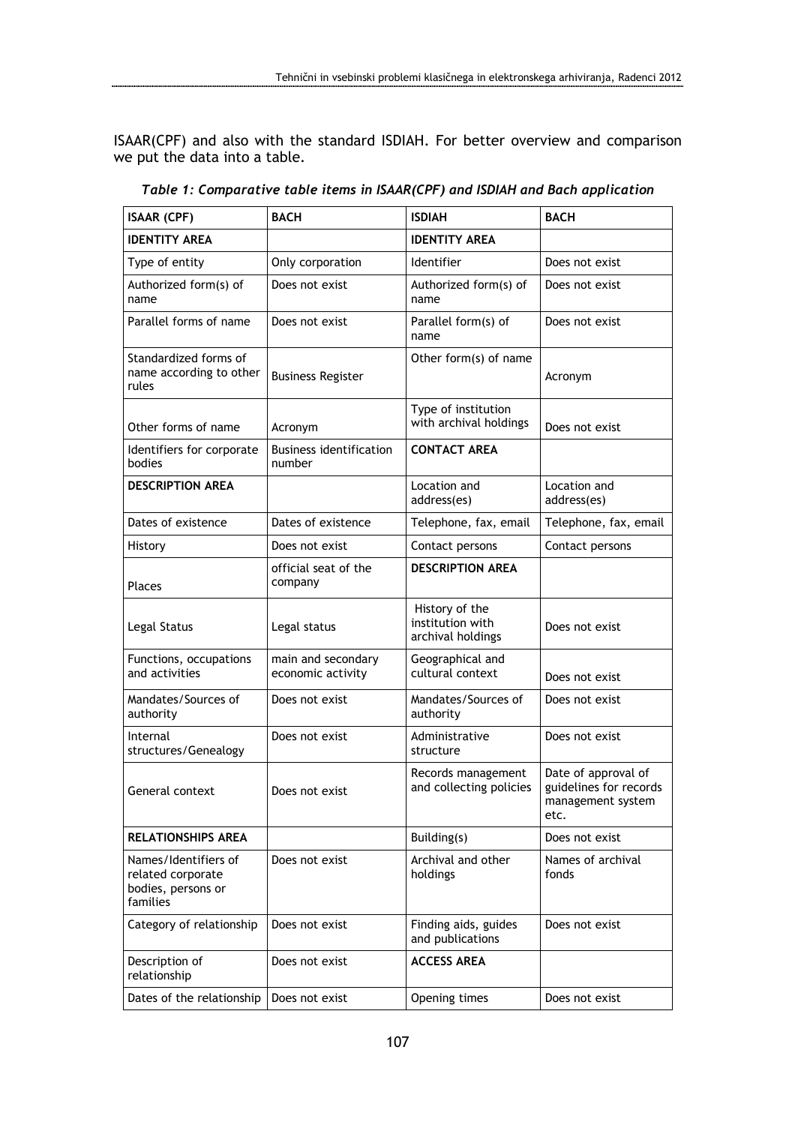ISAAR(CPF) and also with the standard ISDIAH. For better overview and comparison we put the data into a table.

| <b>ISAAR (CPF)</b>                                                          | <b>BACH</b>                              | <b>ISDIAH</b>                                           | <b>BACH</b>                                                                |
|-----------------------------------------------------------------------------|------------------------------------------|---------------------------------------------------------|----------------------------------------------------------------------------|
| <b>IDENTITY AREA</b>                                                        |                                          | <b>IDENTITY AREA</b>                                    |                                                                            |
| Type of entity                                                              | Only corporation                         | Identifier                                              | Does not exist                                                             |
| Authorized form(s) of<br>name                                               | Does not exist                           | Authorized form(s) of<br>name                           | Does not exist                                                             |
| Parallel forms of name                                                      | Does not exist                           | Parallel form(s) of<br>name                             | Does not exist                                                             |
| Standardized forms of<br>name according to other<br>rules                   | <b>Business Register</b>                 | Other form(s) of name                                   | Acronym                                                                    |
| Other forms of name                                                         | Acronym                                  | Type of institution<br>with archival holdings           | Does not exist                                                             |
| Identifiers for corporate<br>bodies                                         | <b>Business identification</b><br>number | <b>CONTACT AREA</b>                                     |                                                                            |
| <b>DESCRIPTION AREA</b>                                                     |                                          | Location and<br>address(es)                             | Location and<br>address(es)                                                |
| Dates of existence                                                          | Dates of existence                       | Telephone, fax, email                                   | Telephone, fax, email                                                      |
| History                                                                     | Does not exist                           | Contact persons                                         | Contact persons                                                            |
| Places                                                                      | official seat of the<br>company          | <b>DESCRIPTION AREA</b>                                 |                                                                            |
| Legal Status                                                                | Legal status                             | History of the<br>institution with<br>archival holdings | Does not exist                                                             |
| Functions, occupations<br>and activities                                    | main and secondary<br>economic activity  | Geographical and<br>cultural context                    | Does not exist                                                             |
| Mandates/Sources of<br>authority                                            | Does not exist                           | Mandates/Sources of<br>authority                        | Does not exist                                                             |
| Internal<br>structures/Genealogy                                            | Does not exist                           | Administrative<br>structure                             | Does not exist                                                             |
| General context                                                             | Does not exist                           | Records management<br>and collecting policies           | Date of approval of<br>guidelines for records<br>management system<br>etc. |
| <b>RELATIONSHIPS AREA</b>                                                   |                                          | Building(s)                                             | Does not exist                                                             |
| Names/Identifiers of<br>related corporate<br>bodies, persons or<br>families | Does not exist                           | Archival and other<br>holdings                          | Names of archival<br>fonds                                                 |
| Category of relationship                                                    | Does not exist                           | Finding aids, guides<br>and publications                | Does not exist                                                             |
| Description of<br>relationship                                              | Does not exist                           | <b>ACCESS AREA</b>                                      |                                                                            |
| Dates of the relationship                                                   | Does not exist                           | Opening times                                           | Does not exist                                                             |

Table 1: Comparative table items in ISAAR(CPF) and ISDIAH and Bach application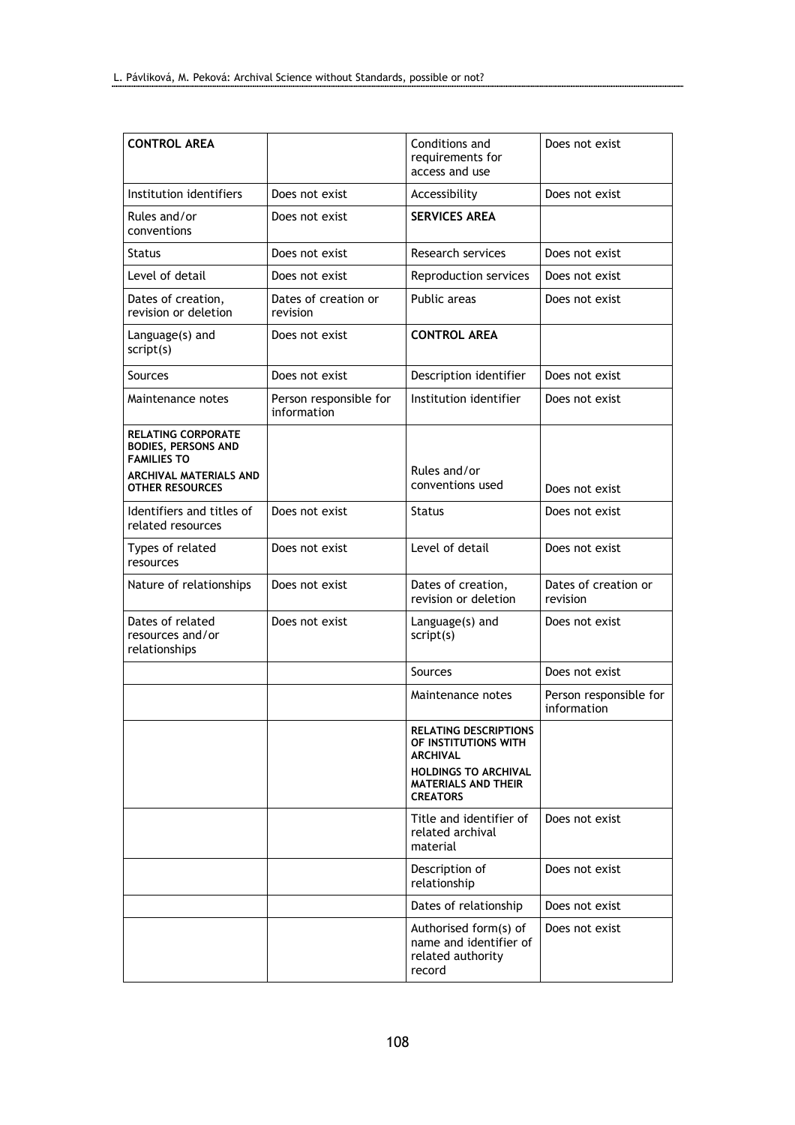| <b>CONTROL AREA</b>                                                                                            |                                       | Conditions and<br>requirements for<br>access and use                           | Does not exist                        |
|----------------------------------------------------------------------------------------------------------------|---------------------------------------|--------------------------------------------------------------------------------|---------------------------------------|
| Institution identifiers                                                                                        | Does not exist                        | Accessibility                                                                  | Does not exist                        |
| Rules and/or<br>conventions                                                                                    | Does not exist                        | <b>SERVICES AREA</b>                                                           |                                       |
| <b>Status</b>                                                                                                  | Does not exist                        | Research services                                                              | Does not exist                        |
| Level of detail                                                                                                | Does not exist                        | Reproduction services                                                          | Does not exist                        |
| Dates of creation,<br>revision or deletion                                                                     | Dates of creation or<br>revision      | Public areas                                                                   | Does not exist                        |
| Language(s) and<br>script(s)                                                                                   | Does not exist                        | <b>CONTROL AREA</b>                                                            |                                       |
| Sources                                                                                                        | Does not exist                        | Description identifier                                                         | Does not exist                        |
| Maintenance notes                                                                                              | Person responsible for<br>information | Institution identifier                                                         | Does not exist                        |
| <b>RELATING CORPORATE</b><br><b>BODIES, PERSONS AND</b><br><b>FAMILIES TO</b><br><b>ARCHIVAL MATERIALS AND</b> |                                       | Rules and/or                                                                   |                                       |
| <b>OTHER RESOURCES</b>                                                                                         |                                       | conventions used                                                               | Does not exist                        |
| Identifiers and titles of<br>related resources                                                                 | Does not exist                        | <b>Status</b>                                                                  | Does not exist                        |
| Types of related<br>resources                                                                                  | Does not exist                        | Level of detail                                                                | Does not exist                        |
| Nature of relationships                                                                                        | Does not exist                        | Dates of creation,<br>revision or deletion                                     | Dates of creation or<br>revision      |
| Dates of related<br>resources and/or<br>relationships                                                          | Does not exist                        | Language(s) and<br>script(s)                                                   | Does not exist                        |
|                                                                                                                |                                       | Sources                                                                        | Does not exist                        |
|                                                                                                                |                                       | Maintenance notes                                                              | Person responsible for<br>information |
|                                                                                                                |                                       | <b>RELATING DESCRIPTIONS</b><br>OF INSTITUTIONS WITH<br><b>ARCHIVAL</b>        |                                       |
|                                                                                                                |                                       | <b>HOLDINGS TO ARCHIVAL</b><br><b>MATERIALS AND THEIR</b><br><b>CREATORS</b>   |                                       |
|                                                                                                                |                                       | Title and identifier of<br>related archival<br>material                        | Does not exist                        |
|                                                                                                                |                                       | Description of<br>relationship                                                 | Does not exist                        |
|                                                                                                                |                                       | Dates of relationship                                                          | Does not exist                        |
|                                                                                                                |                                       | Authorised form(s) of<br>name and identifier of<br>related authority<br>record | Does not exist                        |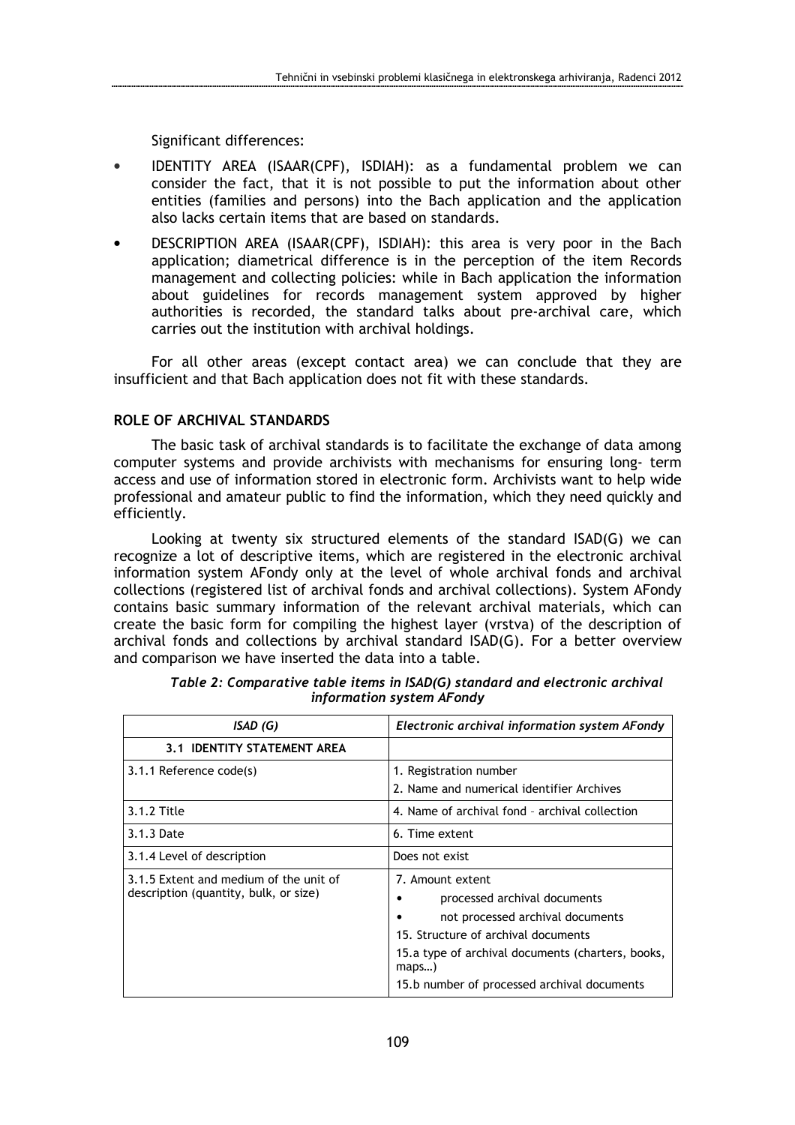Significant differences:

- IDENTITY AREA (ISAAR(CPF), ISDIAH): as a fundamental problem we can consider the fact, that it is not possible to put the information about other entities (families and persons) into the Bach application and the application also lacks certain items that are based on standards.
- DESCRIPTION AREA (ISAAR(CPF), ISDIAH): this area is very poor in the Bach application; diametrical difference is in the perception of the item Records management and collecting policies: while in Bach application the information about guidelines for records management system approved by higher authorities is recorded, the standard talks about pre-archival care, which carries out the institution with archival holdings.

For all other areas (except contact area) we can conclude that they are insufficient and that Bach application does not fit with these standards.

## ROLE OF ARCHIVAL STANDARDS

The basic task of archival standards is to facilitate the exchange of data among computer systems and provide archivists with mechanisms for ensuring long- term access and use of information stored in electronic form. Archivists want to help wide professional and amateur public to find the information, which they need quickly and efficiently.

Looking at twenty six structured elements of the standard ISAD(G) we can recognize a lot of descriptive items, which are registered in the electronic archival information system AFondy only at the level of whole archival fonds and archival collections (registered list of archival fonds and archival collections). System AFondy contains basic summary information of the relevant archival materials, which can create the basic form for compiling the highest layer (vrstva) of the description of archival fonds and collections by archival standard ISAD(G). For a better overview and comparison we have inserted the data into a table.

| ISAD(G)                                                                         | Electronic archival information system AFondy                                                                                                                                                                                           |
|---------------------------------------------------------------------------------|-----------------------------------------------------------------------------------------------------------------------------------------------------------------------------------------------------------------------------------------|
| 3.1 IDENTITY STATEMENT AREA                                                     |                                                                                                                                                                                                                                         |
| 3.1.1 Reference code(s)                                                         | 1. Registration number<br>2. Name and numerical identifier Archives                                                                                                                                                                     |
| 3.1.2 Title                                                                     | 4. Name of archival fond - archival collection                                                                                                                                                                                          |
| 3.1.3 Date                                                                      | 6. Time extent                                                                                                                                                                                                                          |
| 3.1.4 Level of description                                                      | Does not exist                                                                                                                                                                                                                          |
| 3.1.5 Extent and medium of the unit of<br>description (quantity, bulk, or size) | 7. Amount extent<br>processed archival documents<br>not processed archival documents<br>15. Structure of archival documents<br>15.a type of archival documents (charters, books,<br>maps<br>15.b number of processed archival documents |

| Table 2: Comparative table items in ISAD(G) standard and electronic archival |  |  |
|------------------------------------------------------------------------------|--|--|
| information system AFondy                                                    |  |  |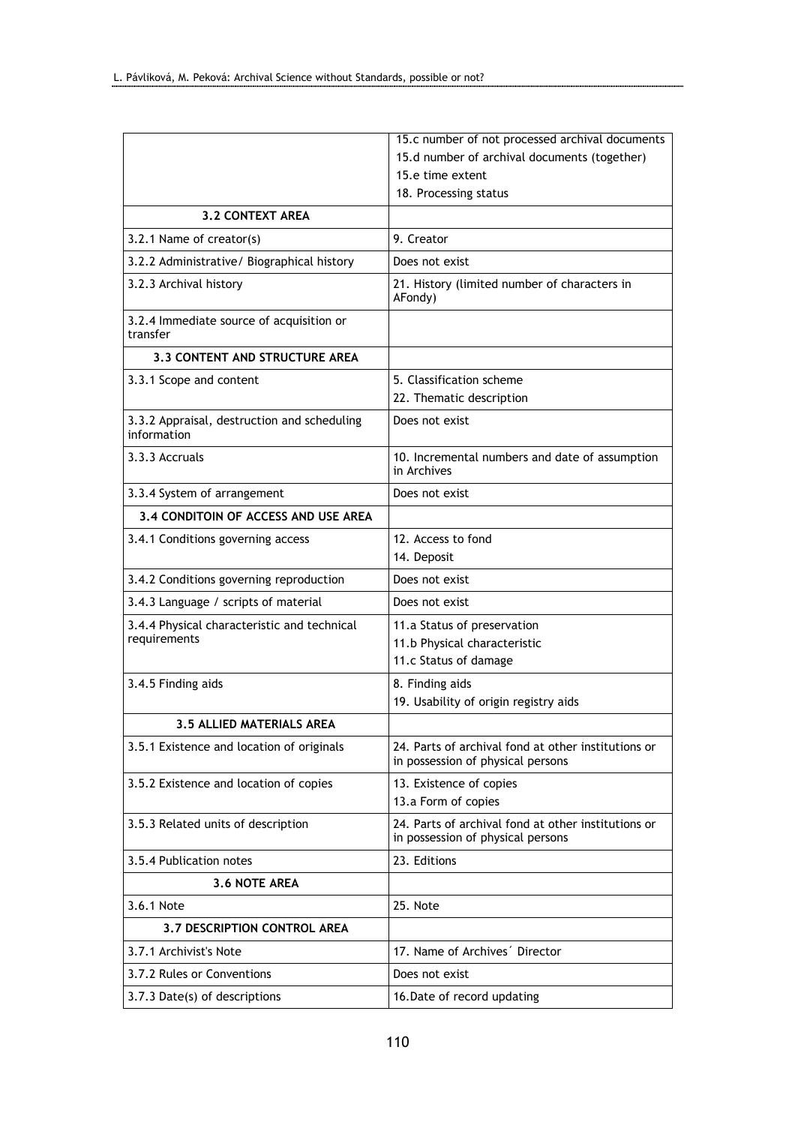|                                                             | 15.c number of not processed archival documents                                          |  |
|-------------------------------------------------------------|------------------------------------------------------------------------------------------|--|
|                                                             | 15.d number of archival documents (together)                                             |  |
|                                                             | 15.e time extent                                                                         |  |
|                                                             | 18. Processing status                                                                    |  |
| <b>3.2 CONTEXT AREA</b>                                     |                                                                                          |  |
| 3.2.1 Name of creator(s)                                    | 9. Creator                                                                               |  |
| 3.2.2 Administrative/ Biographical history                  | Does not exist                                                                           |  |
| 3.2.3 Archival history                                      | 21. History (limited number of characters in<br>AFondy)                                  |  |
| 3.2.4 Immediate source of acquisition or<br>transfer        |                                                                                          |  |
| 3.3 CONTENT AND STRUCTURE AREA                              |                                                                                          |  |
| 3.3.1 Scope and content                                     | 5. Classification scheme<br>22. Thematic description                                     |  |
| 3.3.2 Appraisal, destruction and scheduling<br>information  | Does not exist                                                                           |  |
| 3.3.3 Accruals                                              | 10. Incremental numbers and date of assumption<br>in Archives                            |  |
| 3.3.4 System of arrangement                                 | Does not exist                                                                           |  |
| 3.4 CONDITOIN OF ACCESS AND USE AREA                        |                                                                                          |  |
| 3.4.1 Conditions governing access                           | 12. Access to fond<br>14. Deposit                                                        |  |
| 3.4.2 Conditions governing reproduction                     | Does not exist                                                                           |  |
| 3.4.3 Language / scripts of material                        | Does not exist                                                                           |  |
| 3.4.4 Physical characteristic and technical<br>requirements | 11.a Status of preservation<br>11.b Physical characteristic<br>11.c Status of damage     |  |
| 3.4.5 Finding aids                                          | 8. Finding aids<br>19. Usability of origin registry aids                                 |  |
| 3.5 ALLIED MATERIALS AREA                                   |                                                                                          |  |
| 3.5.1 Existence and location of originals                   | 24. Parts of archival fond at other institutions or<br>in possession of physical persons |  |
| 3.5.2 Existence and location of copies                      | 13. Existence of copies<br>13.a Form of copies                                           |  |
| 3.5.3 Related units of description                          | 24. Parts of archival fond at other institutions or<br>in possession of physical persons |  |
| 3.5.4 Publication notes                                     | 23. Editions                                                                             |  |
| 3.6 NOTE AREA                                               |                                                                                          |  |
| 3.6.1 Note                                                  | 25. Note                                                                                 |  |
| <b>3.7 DESCRIPTION CONTROL AREA</b>                         |                                                                                          |  |
| 3.7.1 Archivist's Note                                      | 17. Name of Archives <sup>'</sup> Director                                               |  |
| 3.7.2 Rules or Conventions                                  | Does not exist                                                                           |  |
| 3.7.3 Date(s) of descriptions                               | 16. Date of record updating                                                              |  |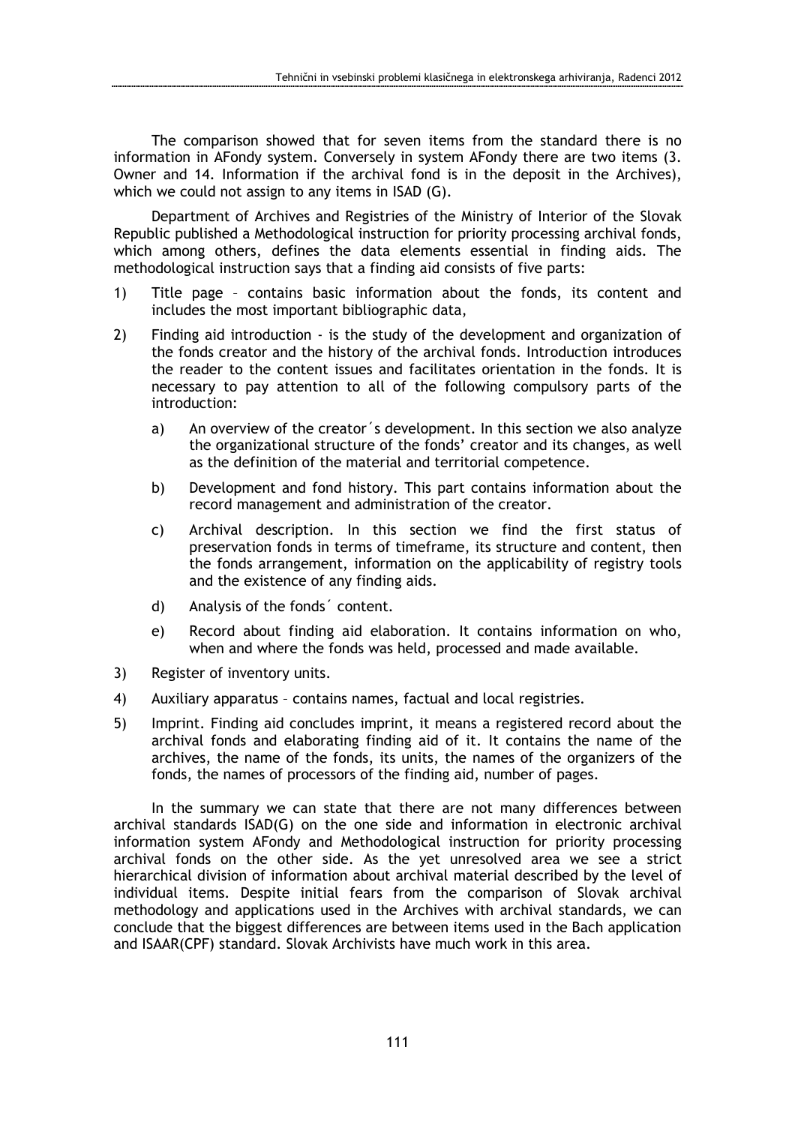The comparison showed that for seven items from the standard there is no information in AFondy system. Conversely in system AFondy there are two items (3. Owner and 14. Information if the archival fond is in the deposit in the Archives), which we could not assign to any items in ISAD (G).

Department of Archives and Registries of the Ministry of Interior of the Slovak Republic published a Methodological instruction for priority processing archival fonds, which among others, defines the data elements essential in finding aids. The methodological instruction says that a finding aid consists of five parts:

- 1) Title page contains basic information about the fonds, its content and includes the most important bibliographic data,
- 2) Finding aid introduction is the study of the development and organization of the fonds creator and the history of the archival fonds. Introduction introduces the reader to the content issues and facilitates orientation in the fonds. It is necessary to pay attention to all of the following compulsory parts of the introduction:
	- a) An overview of the creator´s development. In this section we also analyze the organizational structure of the fonds' creator and its changes, as well as the definition of the material and territorial competence.
	- b) Development and fond history. This part contains information about the record management and administration of the creator.
	- c) Archival description. In this section we find the first status of preservation fonds in terms of timeframe, its structure and content, then the fonds arrangement, information on the applicability of registry tools and the existence of any finding aids.
	- d) Analysis of the fonds´ content.
	- e) Record about finding aid elaboration. It contains information on who, when and where the fonds was held, processed and made available.
- 3) Register of inventory units.
- 4) Auxiliary apparatus contains names, factual and local registries.
- 5) Imprint. Finding aid concludes imprint, it means a registered record about the archival fonds and elaborating finding aid of it. It contains the name of the archives, the name of the fonds, its units, the names of the organizers of the fonds, the names of processors of the finding aid, number of pages.

In the summary we can state that there are not many differences between archival standards ISAD(G) on the one side and information in electronic archival information system AFondy and Methodological instruction for priority processing archival fonds on the other side. As the yet unresolved area we see a strict hierarchical division of information about archival material described by the level of individual items. Despite initial fears from the comparison of Slovak archival methodology and applications used in the Archives with archival standards, we can conclude that the biggest differences are between items used in the Bach application and ISAAR(CPF) standard. Slovak Archivists have much work in this area.